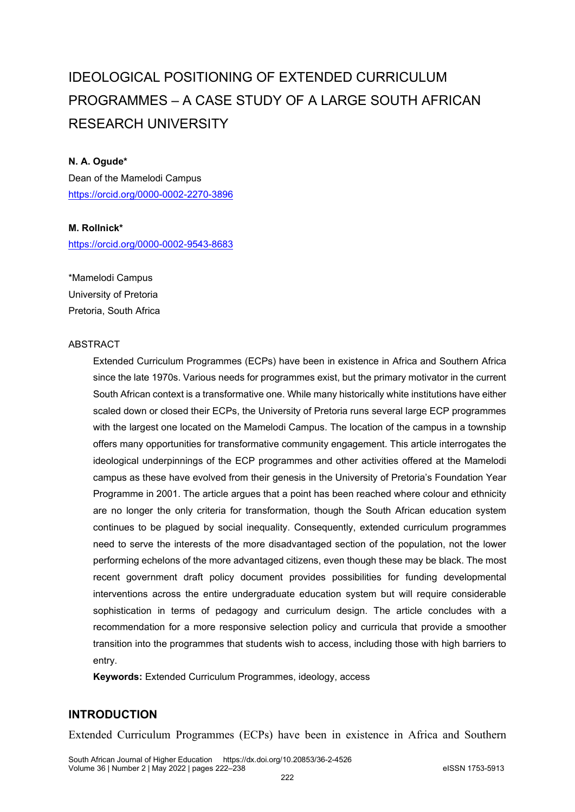# IDEOLOGICAL POSITIONING OF EXTENDED CURRICULUM PROGRAMMES – A CASE STUDY OF A LARGE SOUTH AFRICAN RESEARCH UNIVERSITY

#### **N. A. Ogude\***

Dean of the Mamelodi Campus <https://orcid.org/0000-0002-2270-3896>

#### **M. Rollnick\***

<https://orcid.org/0000-0002-9543-8683>

\*Mamelodi Campus University of Pretoria Pretoria, South Africa

#### ABSTRACT

Extended Curriculum Programmes (ECPs) have been in existence in Africa and Southern Africa since the late 1970s. Various needs for programmes exist, but the primary motivator in the current South African context is a transformative one. While many historically white institutions have either scaled down or closed their ECPs, the University of Pretoria runs several large ECP programmes with the largest one located on the Mamelodi Campus. The location of the campus in a township offers many opportunities for transformative community engagement. This article interrogates the ideological underpinnings of the ECP programmes and other activities offered at the Mamelodi campus as these have evolved from their genesis in the University of Pretoria's Foundation Year Programme in 2001. The article argues that a point has been reached where colour and ethnicity are no longer the only criteria for transformation, though the South African education system continues to be plagued by social inequality. Consequently, extended curriculum programmes need to serve the interests of the more disadvantaged section of the population, not the lower performing echelons of the more advantaged citizens, even though these may be black. The most recent government draft policy document provides possibilities for funding developmental interventions across the entire undergraduate education system but will require considerable sophistication in terms of pedagogy and curriculum design. The article concludes with a recommendation for a more responsive selection policy and curricula that provide a smoother transition into the programmes that students wish to access, including those with high barriers to entry.

**Keywords:** Extended Curriculum Programmes, ideology, access

# **INTRODUCTION**

Extended Curriculum Programmes (ECPs) have been in existence in Africa and Southern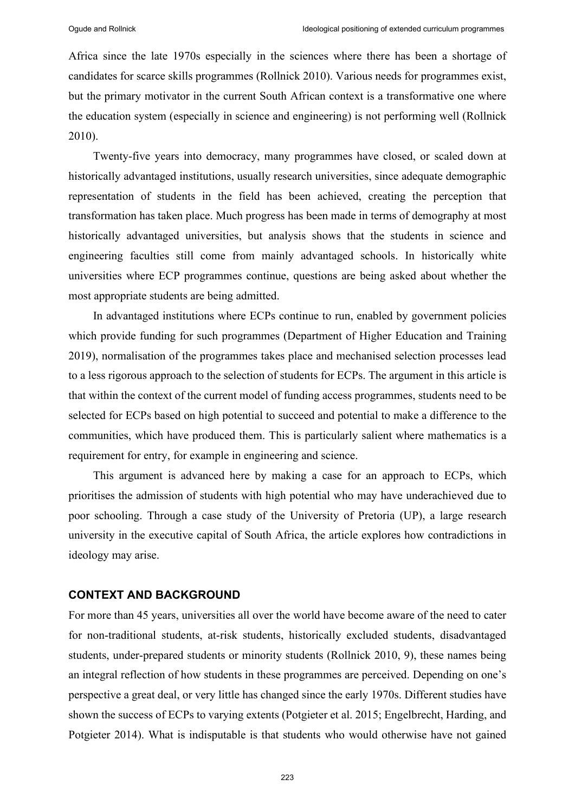Africa since the late 1970s especially in the sciences where there has been a shortage of candidates for scarce skills programmes (Rollnick 2010). Various needs for programmes exist, but the primary motivator in the current South African context is a transformative one where the education system (especially in science and engineering) is not performing well (Rollnick 2010).

Twenty-five years into democracy, many programmes have closed, or scaled down at historically advantaged institutions, usually research universities, since adequate demographic representation of students in the field has been achieved, creating the perception that transformation has taken place. Much progress has been made in terms of demography at most historically advantaged universities, but analysis shows that the students in science and engineering faculties still come from mainly advantaged schools. In historically white universities where ECP programmes continue, questions are being asked about whether the most appropriate students are being admitted.

In advantaged institutions where ECPs continue to run, enabled by government policies which provide funding for such programmes (Department of Higher Education and Training 2019), normalisation of the programmes takes place and mechanised selection processes lead to a less rigorous approach to the selection of students for ECPs. The argument in this article is that within the context of the current model of funding access programmes, students need to be selected for ECPs based on high potential to succeed and potential to make a difference to the communities, which have produced them. This is particularly salient where mathematics is a requirement for entry, for example in engineering and science.

This argument is advanced here by making a case for an approach to ECPs, which prioritises the admission of students with high potential who may have underachieved due to poor schooling. Through a case study of the University of Pretoria (UP), a large research university in the executive capital of South Africa, the article explores how contradictions in ideology may arise.

#### **CONTEXT AND BACKGROUND**

For more than 45 years, universities all over the world have become aware of the need to cater for non-traditional students, at-risk students, historically excluded students, disadvantaged students, under-prepared students or minority students (Rollnick 2010, 9), these names being an integral reflection of how students in these programmes are perceived. Depending on one's perspective a great deal, or very little has changed since the early 1970s. Different studies have shown the success of ECPs to varying extents (Potgieter et al. 2015; Engelbrecht, Harding, and Potgieter 2014). What is indisputable is that students who would otherwise have not gained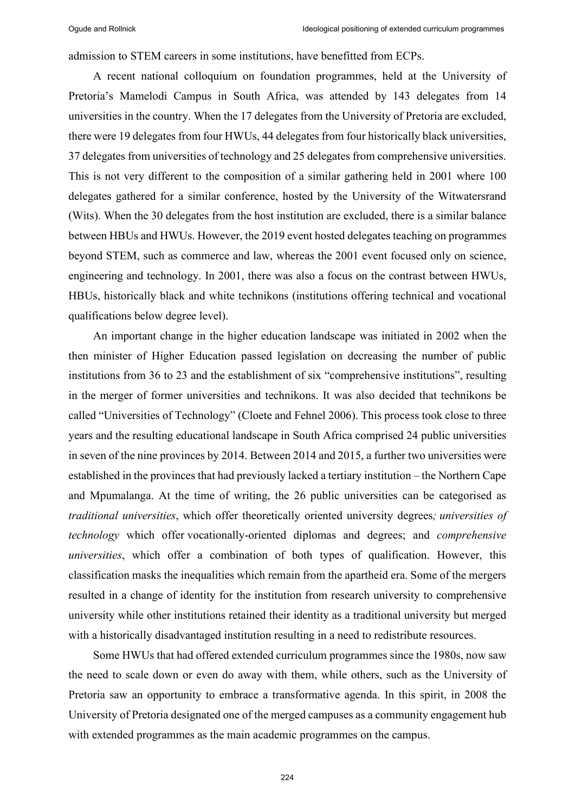admission to STEM careers in some institutions, have benefitted from ECPs.

A recent national colloquium on foundation programmes, held at the University of Pretoria's Mamelodi Campus in South Africa, was attended by 143 delegates from 14 universities in the country. When the 17 delegates from the University of Pretoria are excluded, there were 19 delegates from four HWUs, 44 delegates from four historically black universities, 37 delegates from universities of technology and 25 delegates from comprehensive universities. This is not very different to the composition of a similar gathering held in 2001 where 100 delegates gathered for a similar conference, hosted by the University of the Witwatersrand (Wits). When the 30 delegates from the host institution are excluded, there is a similar balance between HBUs and HWUs. However, the 2019 event hosted delegates teaching on programmes beyond STEM, such as commerce and law, whereas the 2001 event focused only on science, engineering and technology. In 2001, there was also a focus on the contrast between HWUs, HBUs, historically black and white technikons (institutions offering technical and vocational qualifications below degree level).

An important change in the higher education landscape was initiated in 2002 when the then minister of Higher Education passed legislation on decreasing the number of public institutions from 36 to 23 and the establishment of six "comprehensive institutions", resulting in the merger of former universities and technikons. It was also decided that technikons be called "Universities of Technology" (Cloete and Fehnel 2006). This process took close to three years and the resulting educational landscape in South Africa comprised 24 public universities in seven of the nine provinces by 2014. Between 2014 and 2015, a further two universities were established in the provinces that had previously lacked a tertiary institution – the Northern Cape and Mpumalanga. At the time of writing, the 26 public universities can be categorised as *traditional universities*, which offer theoretically oriented university degrees*; universities of technology* which offer vocationally-oriented diplomas and degrees; and *comprehensive universities*, which offer a combination of both types of qualification. However, this classification masks the inequalities which remain from the apartheid era. Some of the mergers resulted in a change of identity for the institution from research university to comprehensive university while other institutions retained their identity as a traditional university but merged with a historically disadvantaged institution resulting in a need to redistribute resources.

Some HWUs that had offered extended curriculum programmes since the 1980s, now saw the need to scale down or even do away with them, while others, such as the University of Pretoria saw an opportunity to embrace a transformative agenda. In this spirit, in 2008 the University of Pretoria designated one of the merged campuses as a community engagement hub with extended programmes as the main academic programmes on the campus.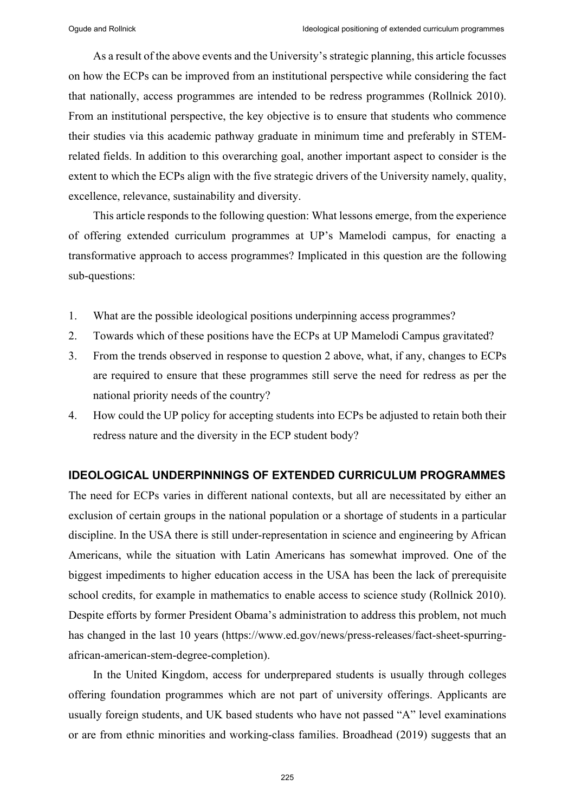As a result of the above events and the University's strategic planning, this article focusses on how the ECPs can be improved from an institutional perspective while considering the fact that nationally, access programmes are intended to be redress programmes (Rollnick 2010). From an institutional perspective, the key objective is to ensure that students who commence their studies via this academic pathway graduate in minimum time and preferably in STEMrelated fields. In addition to this overarching goal, another important aspect to consider is the extent to which the ECPs align with the five strategic drivers of the University namely, quality, excellence, relevance, sustainability and diversity.

This article responds to the following question: What lessons emerge, from the experience of offering extended curriculum programmes at UP's Mamelodi campus, for enacting a transformative approach to access programmes? Implicated in this question are the following sub-questions:

- 1. What are the possible ideological positions underpinning access programmes?
- 2. Towards which of these positions have the ECPs at UP Mamelodi Campus gravitated?
- 3. From the trends observed in response to question 2 above, what, if any, changes to ECPs are required to ensure that these programmes still serve the need for redress as per the national priority needs of the country?
- 4. How could the UP policy for accepting students into ECPs be adjusted to retain both their redress nature and the diversity in the ECP student body?

#### **IDEOLOGICAL UNDERPINNINGS OF EXTENDED CURRICULUM PROGRAMMES**

The need for ECPs varies in different national contexts, but all are necessitated by either an exclusion of certain groups in the national population or a shortage of students in a particular discipline. In the USA there is still under-representation in science and engineering by African Americans, while the situation with Latin Americans has somewhat improved. One of the biggest impediments to higher education access in the USA has been the lack of prerequisite school credits, for example in mathematics to enable access to science study (Rollnick 2010). Despite efforts by former President Obama's administration to address this problem, not much has changed in the last 10 years (https://www.ed.gov/news/press-releases/fact-sheet-spurringafrican-american-stem-degree-completion).

In the United Kingdom, access for underprepared students is usually through colleges offering foundation programmes which are not part of university offerings. Applicants are usually foreign students, and UK based students who have not passed "A" level examinations or are from ethnic minorities and working-class families. Broadhead (2019) suggests that an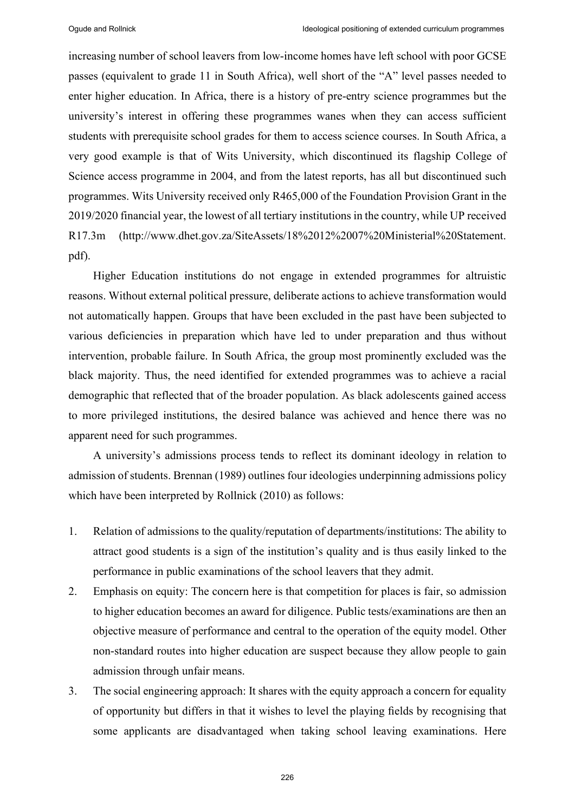increasing number of school leavers from low-income homes have left school with poor GCSE passes (equivalent to grade 11 in South Africa), well short of the "A" level passes needed to enter higher education. In Africa, there is a history of pre-entry science programmes but the university's interest in offering these programmes wanes when they can access sufficient students with prerequisite school grades for them to access science courses. In South Africa, a very good example is that of Wits University, which discontinued its flagship College of Science access programme in 2004, and from the latest reports, has all but discontinued such programmes. Wits University received only R465,000 of the Foundation Provision Grant in the 2019/2020 financial year, the lowest of all tertiary institutions in the country, while UP received R17.3m (http://www.dhet.gov.za/SiteAssets/18%2012%2007%20Ministerial%20Statement. pdf).

Higher Education institutions do not engage in extended programmes for altruistic reasons. Without external political pressure, deliberate actions to achieve transformation would not automatically happen. Groups that have been excluded in the past have been subjected to various deficiencies in preparation which have led to under preparation and thus without intervention, probable failure. In South Africa, the group most prominently excluded was the black majority. Thus, the need identified for extended programmes was to achieve a racial demographic that reflected that of the broader population. As black adolescents gained access to more privileged institutions, the desired balance was achieved and hence there was no apparent need for such programmes.

A university's admissions process tends to reflect its dominant ideology in relation to admission of students. Brennan (1989) outlines four ideologies underpinning admissions policy which have been interpreted by Rollnick (2010) as follows:

- 1. Relation of admissions to the quality/reputation of departments/institutions: The ability to attract good students is a sign of the institution's quality and is thus easily linked to the performance in public examinations of the school leavers that they admit.
- 2. Emphasis on equity: The concern here is that competition for places is fair, so admission to higher education becomes an award for diligence. Public tests/examinations are then an objective measure of performance and central to the operation of the equity model. Other non-standard routes into higher education are suspect because they allow people to gain admission through unfair means.
- 3. The social engineering approach: It shares with the equity approach a concern for equality of opportunity but differs in that it wishes to level the playing fields by recognising that some applicants are disadvantaged when taking school leaving examinations. Here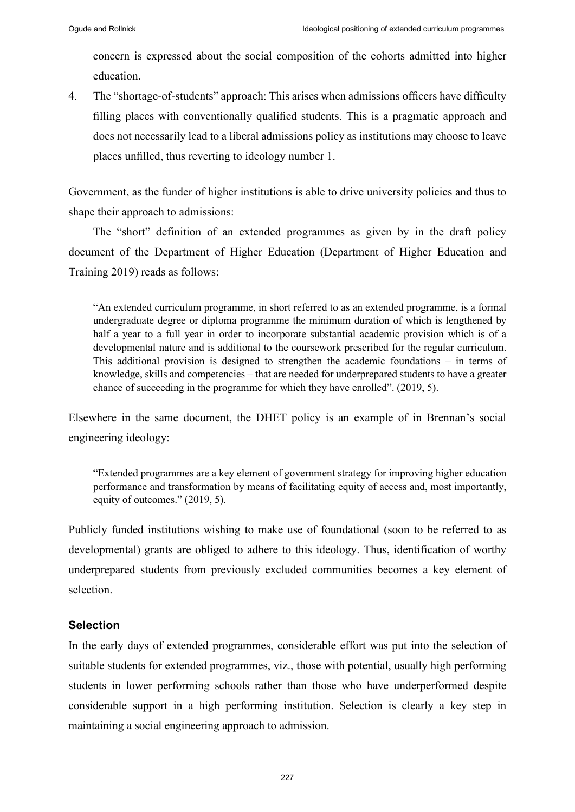concern is expressed about the social composition of the cohorts admitted into higher education.

4. The "shortage-of-students" approach: This arises when admissions officers have difficulty filling places with conventionally qualified students. This is a pragmatic approach and does not necessarily lead to a liberal admissions policy as institutions may choose to leave places unfilled, thus reverting to ideology number 1.

Government, as the funder of higher institutions is able to drive university policies and thus to shape their approach to admissions:

The "short" definition of an extended programmes as given by in the draft policy document of the Department of Higher Education (Department of Higher Education and Training 2019) reads as follows:

"An extended curriculum programme, in short referred to as an extended programme, is a formal undergraduate degree or diploma programme the minimum duration of which is lengthened by half a year to a full year in order to incorporate substantial academic provision which is of a developmental nature and is additional to the coursework prescribed for the regular curriculum. This additional provision is designed to strengthen the academic foundations – in terms of knowledge, skills and competencies – that are needed for underprepared students to have a greater chance of succeeding in the programme for which they have enrolled". (2019, 5).

Elsewhere in the same document, the DHET policy is an example of in Brennan's social engineering ideology:

"Extended programmes are a key element of government strategy for improving higher education performance and transformation by means of facilitating equity of access and, most importantly, equity of outcomes." (2019, 5).

Publicly funded institutions wishing to make use of foundational (soon to be referred to as developmental) grants are obliged to adhere to this ideology. Thus, identification of worthy underprepared students from previously excluded communities becomes a key element of selection.

### **Selection**

In the early days of extended programmes, considerable effort was put into the selection of suitable students for extended programmes, viz., those with potential, usually high performing students in lower performing schools rather than those who have underperformed despite considerable support in a high performing institution. Selection is clearly a key step in maintaining a social engineering approach to admission.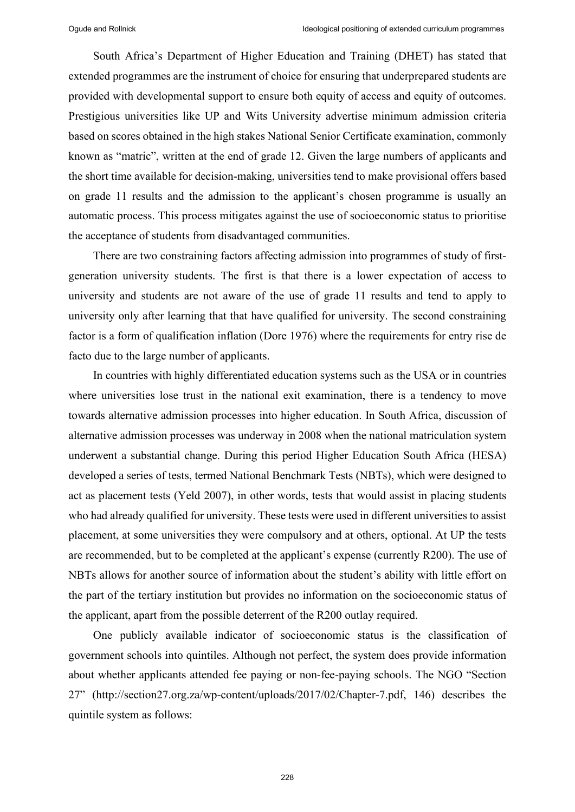South Africa's Department of Higher Education and Training (DHET) has stated that extended programmes are the instrument of choice for ensuring that underprepared students are provided with developmental support to ensure both equity of access and equity of outcomes. Prestigious universities like UP and Wits University advertise minimum admission criteria based on scores obtained in the high stakes National Senior Certificate examination, commonly known as "matric", written at the end of grade 12. Given the large numbers of applicants and the short time available for decision-making, universities tend to make provisional offers based on grade 11 results and the admission to the applicant's chosen programme is usually an automatic process. This process mitigates against the use of socioeconomic status to prioritise the acceptance of students from disadvantaged communities.

There are two constraining factors affecting admission into programmes of study of firstgeneration university students. The first is that there is a lower expectation of access to university and students are not aware of the use of grade 11 results and tend to apply to university only after learning that that have qualified for university. The second constraining factor is a form of qualification inflation (Dore 1976) where the requirements for entry rise de facto due to the large number of applicants.

In countries with highly differentiated education systems such as the USA or in countries where universities lose trust in the national exit examination, there is a tendency to move towards alternative admission processes into higher education. In South Africa, discussion of alternative admission processes was underway in 2008 when the national matriculation system underwent a substantial change. During this period Higher Education South Africa (HESA) developed a series of tests, termed National Benchmark Tests (NBTs), which were designed to act as placement tests (Yeld 2007), in other words, tests that would assist in placing students who had already qualified for university. These tests were used in different universities to assist placement, at some universities they were compulsory and at others, optional. At UP the tests are recommended, but to be completed at the applicant's expense (currently R200). The use of NBTs allows for another source of information about the student's ability with little effort on the part of the tertiary institution but provides no information on the socioeconomic status of the applicant, apart from the possible deterrent of the R200 outlay required.

One publicly available indicator of socioeconomic status is the classification of government schools into quintiles. Although not perfect, the system does provide information about whether applicants attended fee paying or non-fee-paying schools. The NGO "Section 27" (http://section27.org.za/wp-content/uploads/2017/02/Chapter-7.pdf, 146) describes the quintile system as follows: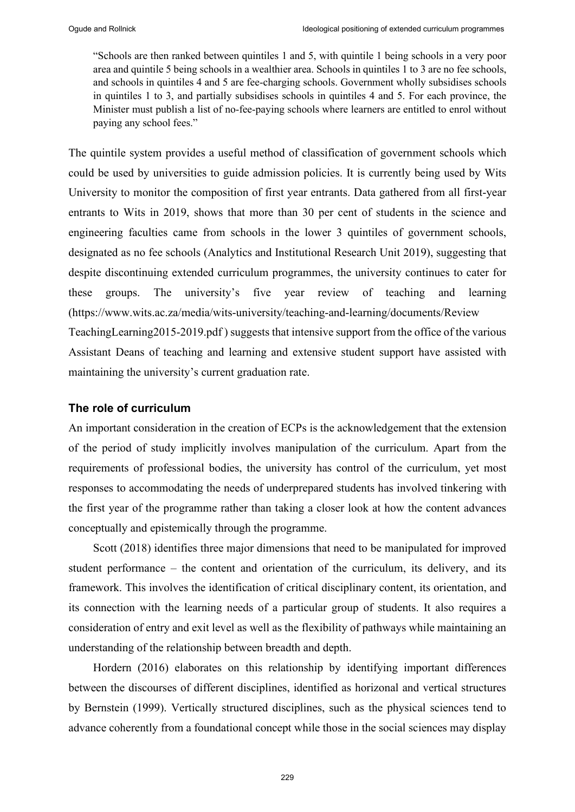"Schools are then ranked between quintiles 1 and 5, with quintile 1 being schools in a very poor area and quintile 5 being schools in a wealthier area. Schools in quintiles 1 to 3 are no fee schools, and schools in quintiles 4 and 5 are fee-charging schools. Government wholly subsidises schools in quintiles 1 to 3, and partially subsidises schools in quintiles 4 and 5. For each province, the Minister must publish a list of no-fee-paying schools where learners are entitled to enrol without paying any school fees."

The quintile system provides a useful method of classification of government schools which could be used by universities to guide admission policies. It is currently being used by Wits University to monitor the composition of first year entrants. Data gathered from all first-year entrants to Wits in 2019, shows that more than 30 per cent of students in the science and engineering faculties came from schools in the lower 3 quintiles of government schools, designated as no fee schools (Analytics and Institutional Research Unit 2019), suggesting that despite discontinuing extended curriculum programmes, the university continues to cater for these groups. The university's five year review of teaching and learning (https://www.wits.ac.za/media/wits-university/teaching-and-learning/documents/Review TeachingLearning2015-2019.pdf ) suggests that intensive support from the office of the various Assistant Deans of teaching and learning and extensive student support have assisted with

## **The role of curriculum**

maintaining the university's current graduation rate.

An important consideration in the creation of ECPs is the acknowledgement that the extension of the period of study implicitly involves manipulation of the curriculum. Apart from the requirements of professional bodies, the university has control of the curriculum, yet most responses to accommodating the needs of underprepared students has involved tinkering with the first year of the programme rather than taking a closer look at how the content advances conceptually and epistemically through the programme.

Scott (2018) identifies three major dimensions that need to be manipulated for improved student performance – the content and orientation of the curriculum, its delivery, and its framework. This involves the identification of critical disciplinary content, its orientation, and its connection with the learning needs of a particular group of students. It also requires a consideration of entry and exit level as well as the flexibility of pathways while maintaining an understanding of the relationship between breadth and depth.

Hordern (2016) elaborates on this relationship by identifying important differences between the discourses of different disciplines, identified as horizonal and vertical structures by Bernstein (1999). Vertically structured disciplines, such as the physical sciences tend to advance coherently from a foundational concept while those in the social sciences may display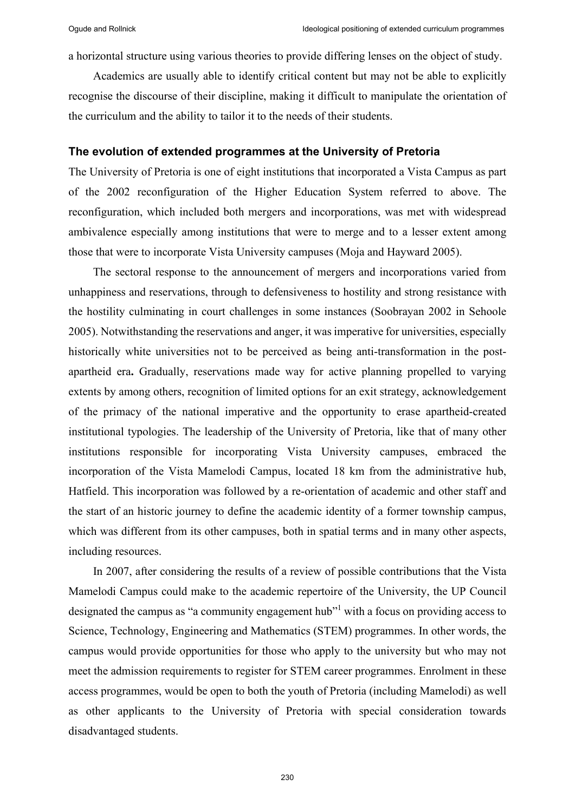a horizontal structure using various theories to provide differing lenses on the object of study.

Academics are usually able to identify critical content but may not be able to explicitly recognise the discourse of their discipline, making it difficult to manipulate the orientation of the curriculum and the ability to tailor it to the needs of their students.

#### **The evolution of extended programmes at the University of Pretoria**

The University of Pretoria is one of eight institutions that incorporated a Vista Campus as part of the 2002 reconfiguration of the Higher Education System referred to above. The reconfiguration, which included both mergers and incorporations, was met with widespread ambivalence especially among institutions that were to merge and to a lesser extent among those that were to incorporate Vista University campuses (Moja and Hayward 2005).

The sectoral response to the announcement of mergers and incorporations varied from unhappiness and reservations, through to defensiveness to hostility and strong resistance with the hostility culminating in court challenges in some instances (Soobrayan 2002 in Sehoole 2005). Notwithstanding the reservations and anger, it was imperative for universities, especially historically white universities not to be perceived as being anti-transformation in the postapartheid era**.** Gradually, reservations made way for active planning propelled to varying extents by among others, recognition of limited options for an exit strategy, acknowledgement of the primacy of the national imperative and the opportunity to erase apartheid-created institutional typologies. The leadership of the University of Pretoria, like that of many other institutions responsible for incorporating Vista University campuses, embraced the incorporation of the Vista Mamelodi Campus, located 18 km from the administrative hub, Hatfield. This incorporation was followed by a re-orientation of academic and other staff and the start of an historic journey to define the academic identity of a former township campus, which was different from its other campuses, both in spatial terms and in many other aspects, including resources.

In 2007, after considering the results of a review of possible contributions that the Vista Mamelodi Campus could make to the academic repertoire of the University, the UP Council designated the campus as "a community engagement hub"<sup>1</sup> with a focus on providing access to Science, Technology, Engineering and Mathematics (STEM) programmes. In other words, the campus would provide opportunities for those who apply to the university but who may not meet the admission requirements to register for STEM career programmes. Enrolment in these access programmes, would be open to both the youth of Pretoria (including Mamelodi) as well as other applicants to the University of Pretoria with special consideration towards disadvantaged students.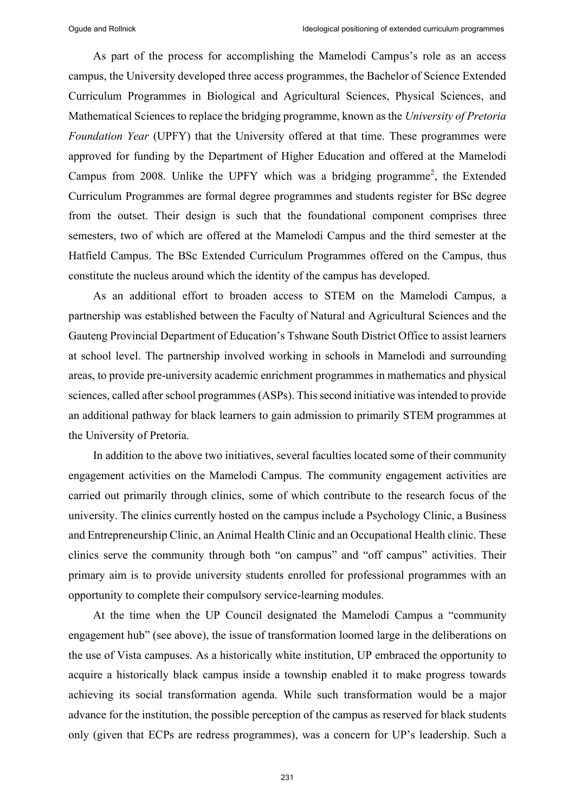As part of the process for accomplishing the Mamelodi Campus's role as an access campus, the University developed three access programmes, the Bachelor of Science Extended Curriculum Programmes in Biological and Agricultural Sciences, Physical Sciences, and Mathematical Sciences to replace the bridging programme, known as the *University of Pretoria Foundation Year* (UPFY) that the University offered at that time. These programmes were approved for funding by the Department of Higher Education and offered at the Mamelodi Campus from 2008. Unlike the UPFY which was a bridging programme<sup>2</sup>, the Extended Curriculum Programmes are formal degree programmes and students register for BSc degree from the outset. Their design is such that the foundational component comprises three semesters, two of which are offered at the Mamelodi Campus and the third semester at the Hatfield Campus. The BSc Extended Curriculum Programmes offered on the Campus, thus constitute the nucleus around which the identity of the campus has developed.

As an additional effort to broaden access to STEM on the Mamelodi Campus, a partnership was established between the Faculty of Natural and Agricultural Sciences and the Gauteng Provincial Department of Education's Tshwane South District Office to assist learners at school level. The partnership involved working in schools in Mamelodi and surrounding areas, to provide pre-university academic enrichment programmes in mathematics and physical sciences, called after school programmes (ASPs). This second initiative was intended to provide an additional pathway for black learners to gain admission to primarily STEM programmes at the University of Pretoria.

In addition to the above two initiatives, several faculties located some of their community engagement activities on the Mamelodi Campus. The community engagement activities are carried out primarily through clinics, some of which contribute to the research focus of the university. The clinics currently hosted on the campus include a Psychology Clinic, a Business and Entrepreneurship Clinic, an Animal Health Clinic and an Occupational Health clinic. These clinics serve the community through both "on campus" and "off campus" activities. Their primary aim is to provide university students enrolled for professional programmes with an opportunity to complete their compulsory service-learning modules.

At the time when the UP Council designated the Mamelodi Campus a "community engagement hub" (see above), the issue of transformation loomed large in the deliberations on the use of Vista campuses. As a historically white institution, UP embraced the opportunity to acquire a historically black campus inside a township enabled it to make progress towards achieving its social transformation agenda. While such transformation would be a major advance for the institution, the possible perception of the campus as reserved for black students only (given that ECPs are redress programmes), was a concern for UP's leadership. Such a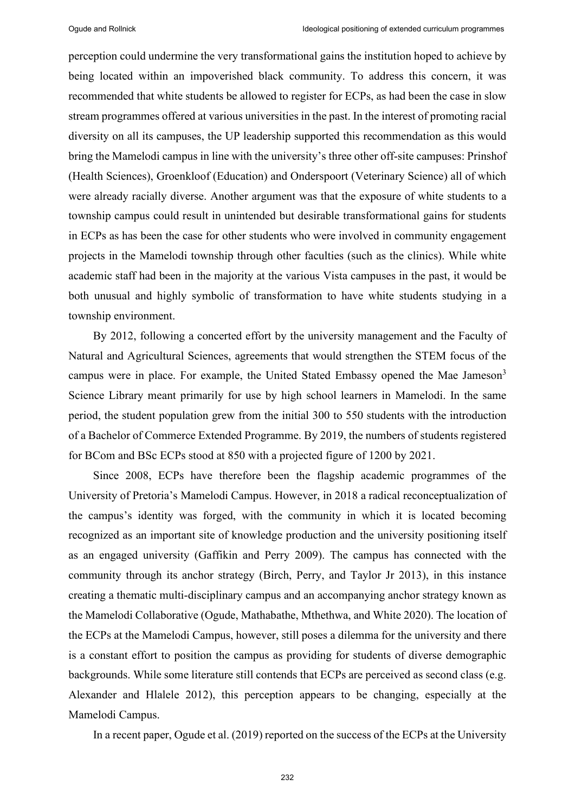perception could undermine the very transformational gains the institution hoped to achieve by being located within an impoverished black community. To address this concern, it was recommended that white students be allowed to register for ECPs, as had been the case in slow stream programmes offered at various universities in the past. In the interest of promoting racial diversity on all its campuses, the UP leadership supported this recommendation as this would bring the Mamelodi campus in line with the university's three other off-site campuses: Prinshof (Health Sciences), Groenkloof (Education) and Onderspoort (Veterinary Science) all of which were already racially diverse. Another argument was that the exposure of white students to a township campus could result in unintended but desirable transformational gains for students in ECPs as has been the case for other students who were involved in community engagement projects in the Mamelodi township through other faculties (such as the clinics). While white academic staff had been in the majority at the various Vista campuses in the past, it would be both unusual and highly symbolic of transformation to have white students studying in a township environment.

By 2012, following a concerted effort by the university management and the Faculty of Natural and Agricultural Sciences, agreements that would strengthen the STEM focus of the campus were in place. For example, the United Stated Embassy opened the Mae Jameson<sup>3</sup> Science Library meant primarily for use by high school learners in Mamelodi. In the same period, the student population grew from the initial 300 to 550 students with the introduction of a Bachelor of Commerce Extended Programme. By 2019, the numbers of students registered for BCom and BSc ECPs stood at 850 with a projected figure of 1200 by 2021.

Since 2008, ECPs have therefore been the flagship academic programmes of the University of Pretoria's Mamelodi Campus. However, in 2018 a radical reconceptualization of the campus's identity was forged, with the community in which it is located becoming recognized as an important site of knowledge production and the university positioning itself as an engaged university (Gaffikin and Perry 2009). The campus has connected with the community through its anchor strategy (Birch, Perry, and Taylor Jr 2013), in this instance creating a thematic multi-disciplinary campus and an accompanying anchor strategy known as the Mamelodi Collaborative (Ogude, Mathabathe, Mthethwa, and White 2020). The location of the ECPs at the Mamelodi Campus, however, still poses a dilemma for the university and there is a constant effort to position the campus as providing for students of diverse demographic backgrounds. While some literature still contends that ECPs are perceived as second class (e.g. Alexander and Hlalele 2012), this perception appears to be changing, especially at the Mamelodi Campus.

In a recent paper, Ogude et al. (2019) reported on the success of the ECPs at the University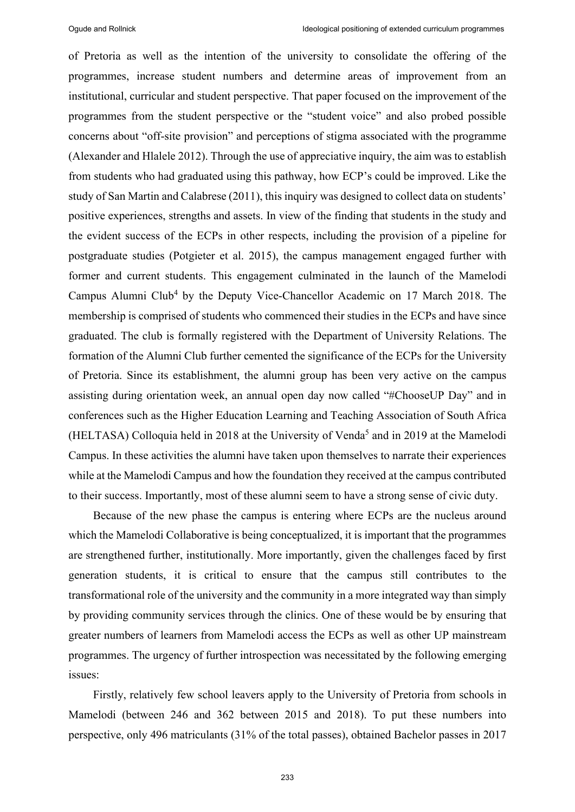of Pretoria as well as the intention of the university to consolidate the offering of the programmes, increase student numbers and determine areas of improvement from an institutional, curricular and student perspective. That paper focused on the improvement of the programmes from the student perspective or the "student voice" and also probed possible concerns about "off-site provision" and perceptions of stigma associated with the programme (Alexander and Hlalele 2012). Through the use of appreciative inquiry, the aim was to establish from students who had graduated using this pathway, how ECP's could be improved. Like the study of San Martin and Calabrese (2011), this inquiry was designed to collect data on students' positive experiences, strengths and assets. In view of the finding that students in the study and the evident success of the ECPs in other respects, including the provision of a pipeline for postgraduate studies (Potgieter et al. 2015), the campus management engaged further with former and current students. This engagement culminated in the launch of the Mamelodi Campus Alumni Club<sup>4</sup> by the Deputy Vice-Chancellor Academic on 17 March 2018. The membership is comprised of students who commenced their studies in the ECPs and have since graduated. The club is formally registered with the Department of University Relations. The formation of the Alumni Club further cemented the significance of the ECPs for the University of Pretoria. Since its establishment, the alumni group has been very active on the campus assisting during orientation week, an annual open day now called "#ChooseUP Day" and in conferences such as the Higher Education Learning and Teaching Association of South Africa (HELTASA) Colloquia held in 2018 at the University of Venda<sup>5</sup> and in 2019 at the Mamelodi Campus. In these activities the alumni have taken upon themselves to narrate their experiences while at the Mamelodi Campus and how the foundation they received at the campus contributed to their success. Importantly, most of these alumni seem to have a strong sense of civic duty.

Because of the new phase the campus is entering where ECPs are the nucleus around which the Mamelodi Collaborative is being conceptualized, it is important that the programmes are strengthened further, institutionally. More importantly, given the challenges faced by first generation students, it is critical to ensure that the campus still contributes to the transformational role of the university and the community in a more integrated way than simply by providing community services through the clinics. One of these would be by ensuring that greater numbers of learners from Mamelodi access the ECPs as well as other UP mainstream programmes. The urgency of further introspection was necessitated by the following emerging issues:

Firstly, relatively few school leavers apply to the University of Pretoria from schools in Mamelodi (between 246 and 362 between 2015 and 2018). To put these numbers into perspective, only 496 matriculants (31% of the total passes), obtained Bachelor passes in 2017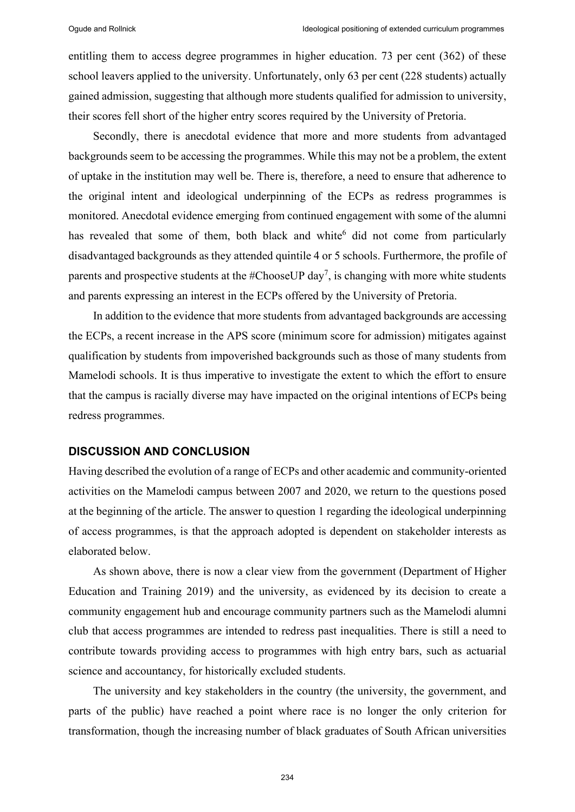entitling them to access degree programmes in higher education. 73 per cent (362) of these school leavers applied to the university. Unfortunately, only 63 per cent (228 students) actually gained admission, suggesting that although more students qualified for admission to university, their scores fell short of the higher entry scores required by the University of Pretoria.

Secondly, there is anecdotal evidence that more and more students from advantaged backgrounds seem to be accessing the programmes. While this may not be a problem, the extent of uptake in the institution may well be. There is, therefore, a need to ensure that adherence to the original intent and ideological underpinning of the ECPs as redress programmes is monitored. Anecdotal evidence emerging from continued engagement with some of the alumni has revealed that some of them, both black and white<sup>6</sup> did not come from particularly disadvantaged backgrounds as they attended quintile 4 or 5 schools. Furthermore, the profile of parents and prospective students at the #ChooseUP day<sup>7</sup>, is changing with more white students and parents expressing an interest in the ECPs offered by the University of Pretoria.

In addition to the evidence that more students from advantaged backgrounds are accessing the ECPs, a recent increase in the APS score (minimum score for admission) mitigates against qualification by students from impoverished backgrounds such as those of many students from Mamelodi schools. It is thus imperative to investigate the extent to which the effort to ensure that the campus is racially diverse may have impacted on the original intentions of ECPs being redress programmes.

#### **DISCUSSION AND CONCLUSION**

Having described the evolution of a range of ECPs and other academic and community-oriented activities on the Mamelodi campus between 2007 and 2020, we return to the questions posed at the beginning of the article. The answer to question 1 regarding the ideological underpinning of access programmes, is that the approach adopted is dependent on stakeholder interests as elaborated below.

As shown above, there is now a clear view from the government (Department of Higher Education and Training 2019) and the university, as evidenced by its decision to create a community engagement hub and encourage community partners such as the Mamelodi alumni club that access programmes are intended to redress past inequalities. There is still a need to contribute towards providing access to programmes with high entry bars, such as actuarial science and accountancy, for historically excluded students.

The university and key stakeholders in the country (the university, the government, and parts of the public) have reached a point where race is no longer the only criterion for transformation, though the increasing number of black graduates of South African universities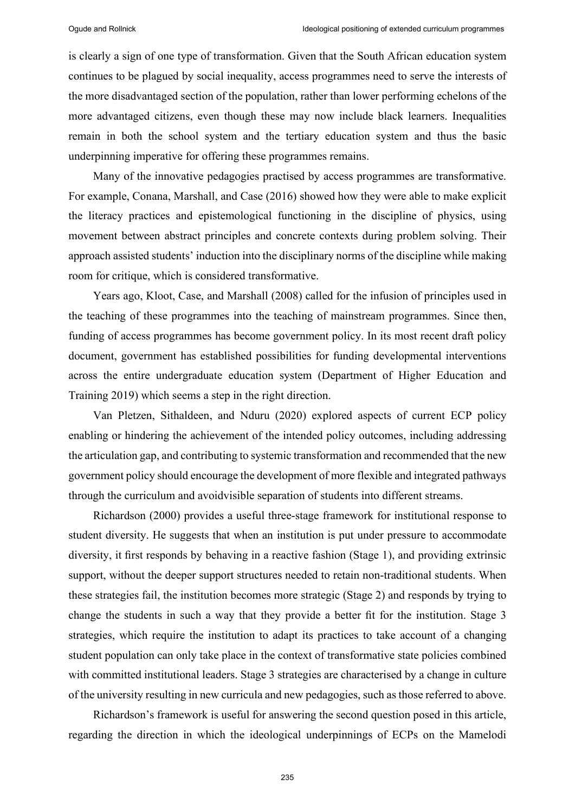is clearly a sign of one type of transformation. Given that the South African education system continues to be plagued by social inequality, access programmes need to serve the interests of the more disadvantaged section of the population, rather than lower performing echelons of the more advantaged citizens, even though these may now include black learners. Inequalities remain in both the school system and the tertiary education system and thus the basic underpinning imperative for offering these programmes remains.

Many of the innovative pedagogies practised by access programmes are transformative. For example, Conana, Marshall, and Case (2016) showed how they were able to make explicit the literacy practices and epistemological functioning in the discipline of physics, using movement between abstract principles and concrete contexts during problem solving. Their approach assisted students' induction into the disciplinary norms of the discipline while making room for critique, which is considered transformative.

Years ago, Kloot, Case, and Marshall (2008) called for the infusion of principles used in the teaching of these programmes into the teaching of mainstream programmes. Since then, funding of access programmes has become government policy. In its most recent draft policy document, government has established possibilities for funding developmental interventions across the entire undergraduate education system (Department of Higher Education and Training 2019) which seems a step in the right direction.

Van Pletzen, Sithaldeen, and Nduru (2020) explored aspects of current ECP policy enabling or hindering the achievement of the intended policy outcomes, including addressing the articulation gap, and contributing to systemic transformation and recommended that the new government policy should encourage the development of more flexible and integrated pathways through the curriculum and avoidvisible separation of students into different streams.

Richardson (2000) provides a useful three-stage framework for institutional response to student diversity. He suggests that when an institution is put under pressure to accommodate diversity, it first responds by behaving in a reactive fashion (Stage 1), and providing extrinsic support, without the deeper support structures needed to retain non-traditional students. When these strategies fail, the institution becomes more strategic (Stage 2) and responds by trying to change the students in such a way that they provide a better fit for the institution. Stage 3 strategies, which require the institution to adapt its practices to take account of a changing student population can only take place in the context of transformative state policies combined with committed institutional leaders. Stage 3 strategies are characterised by a change in culture of the university resulting in new curricula and new pedagogies, such as those referred to above.

Richardson's framework is useful for answering the second question posed in this article, regarding the direction in which the ideological underpinnings of ECPs on the Mamelodi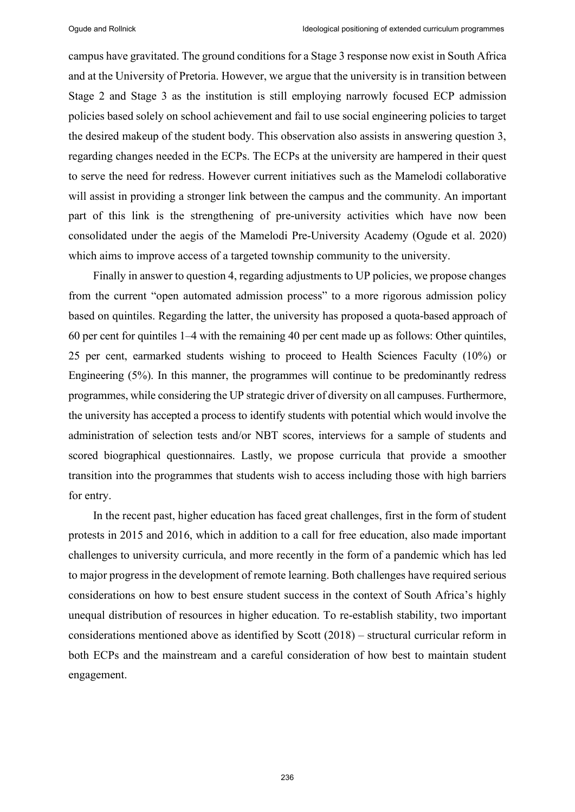campus have gravitated. The ground conditions for a Stage 3 response now exist in South Africa and at the University of Pretoria. However, we argue that the university is in transition between Stage 2 and Stage 3 as the institution is still employing narrowly focused ECP admission policies based solely on school achievement and fail to use social engineering policies to target the desired makeup of the student body. This observation also assists in answering question 3, regarding changes needed in the ECPs. The ECPs at the university are hampered in their quest to serve the need for redress. However current initiatives such as the Mamelodi collaborative will assist in providing a stronger link between the campus and the community. An important part of this link is the strengthening of pre-university activities which have now been consolidated under the aegis of the Mamelodi Pre-University Academy (Ogude et al. 2020) which aims to improve access of a targeted township community to the university.

Finally in answer to question 4, regarding adjustments to UP policies, we propose changes from the current "open automated admission process" to a more rigorous admission policy based on quintiles. Regarding the latter, the university has proposed a quota-based approach of 60 per cent for quintiles 1‒4 with the remaining 40 per cent made up as follows: Other quintiles, 25 per cent, earmarked students wishing to proceed to Health Sciences Faculty (10%) or Engineering (5%). In this manner, the programmes will continue to be predominantly redress programmes, while considering the UP strategic driver of diversity on all campuses. Furthermore, the university has accepted a process to identify students with potential which would involve the administration of selection tests and/or NBT scores, interviews for a sample of students and scored biographical questionnaires. Lastly, we propose curricula that provide a smoother transition into the programmes that students wish to access including those with high barriers for entry.

In the recent past, higher education has faced great challenges, first in the form of student protests in 2015 and 2016, which in addition to a call for free education, also made important challenges to university curricula, and more recently in the form of a pandemic which has led to major progress in the development of remote learning. Both challenges have required serious considerations on how to best ensure student success in the context of South Africa's highly unequal distribution of resources in higher education. To re-establish stability, two important considerations mentioned above as identified by Scott (2018) – structural curricular reform in both ECPs and the mainstream and a careful consideration of how best to maintain student engagement.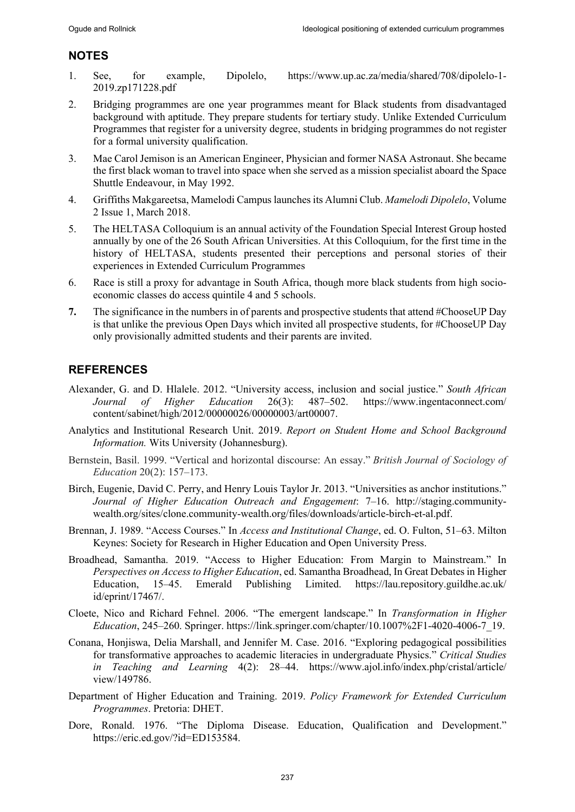## **NOTES**

- 1. See, for example, Dipolelo, https://www.up.ac.za/media/shared/708/dipolelo-1- 2019.zp171228.pdf
- 2. Bridging programmes are one year programmes meant for Black students from disadvantaged background with aptitude. They prepare students for tertiary study. Unlike Extended Curriculum Programmes that register for a university degree, students in bridging programmes do not register for a formal university qualification.
- 3. Mae Carol Jemison is an American Engineer, Physician and former NASA Astronaut. She became the first black woman to travel into space when she served as a mission specialist aboard the Space Shuttle Endeavour, in May 1992.
- 4. Griffiths Makgareetsa, Mamelodi Campus launches its Alumni Club. *Mamelodi Dipolelo*, Volume 2 Issue 1, March 2018.
- 5. The HELTASA Colloquium is an annual activity of the Foundation Special Interest Group hosted annually by one of the 26 South African Universities. At this Colloquium, for the first time in the history of HELTASA, students presented their perceptions and personal stories of their experiences in Extended Curriculum Programmes
- 6. Race is still a proxy for advantage in South Africa, though more black students from high socioeconomic classes do access quintile 4 and 5 schools.
- **7.** The significance in the numbers in of parents and prospective students that attend #ChooseUP Day is that unlike the previous Open Days which invited all prospective students, for #ChooseUP Day only provisionally admitted students and their parents are invited.

# **REFERENCES**

- Alexander, G. and D. Hlalele. 2012. "University access, inclusion and social justice." *South African Journal of Higher Education* 26(3): 487‒502. https://www.ingentaconnect.com/ content/sabinet/high/2012/00000026/00000003/art00007.
- Analytics and Institutional Research Unit. 2019. *Report on Student Home and School Background Information.* Wits University (Johannesburg).
- Bernstein, Basil. 1999. "Vertical and horizontal discourse: An essay." *British Journal of Sociology of Education* 20(2): 157-173.
- Birch, Eugenie, David C. Perry, and Henry Louis Taylor Jr. 2013. "Universities as anchor institutions." Journal of Higher Education Outreach and Engagement: 7-16. http://staging.communitywealth.org/sites/clone.community-wealth.org/files/downloads/article-birch-et-al.pdf.
- Brennan, J. 1989. "Access Courses." In *Access and Institutional Change*, ed. O. Fulton, 51–63. Milton Keynes: Society for Research in Higher Education and Open University Press.
- Broadhead, Samantha. 2019. "Access to Higher Education: From Margin to Mainstream." In *Perspectives on Access to Higher Education*, ed. Samantha Broadhead, In Great Debates in Higher Education, 15–45. Emerald Publishing Limited. https://lau.repository.guildhe.ac.uk/ id/eprint/17467/.
- Cloete, Nico and Richard Fehnel. 2006. "The emergent landscape." In *Transformation in Higher Education*, 245‒260. Springer. https://link.springer.com/chapter/10.1007%2F1-4020-4006-7\_19.
- Conana, Honjiswa, Delia Marshall, and Jennifer M. Case. 2016. "Exploring pedagogical possibilities for transformative approaches to academic literacies in undergraduate Physics." *Critical Studies in Teaching and Learning* 4(2): 28–44. https://www.ajol.info/index.php/cristal/article/ view/149786.
- Department of Higher Education and Training. 2019. *Policy Framework for Extended Curriculum Programmes*. Pretoria: DHET.
- Dore, Ronald. 1976. "The Diploma Disease. Education, Qualification and Development." https://eric.ed.gov/?id=ED153584.